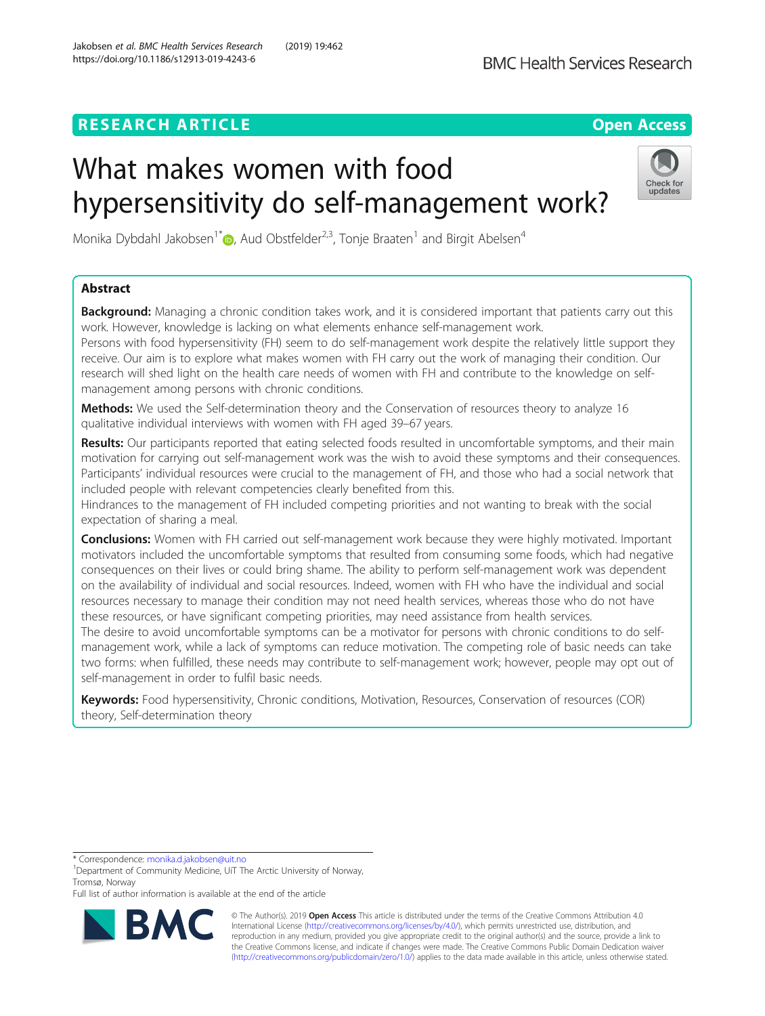# **RESEARCH ARTICLE Example 2018 12:30 THE Open Access**

# What makes women with food hypersensitivity do self-management work?



Monika Dybdahl Jakobsen<sup>1[\\*](http://orcid.org/0000-0002-8334-8488)</sup> $\odot$ , Aud Obstfelder<sup>2,3</sup>, Tonje Braaten<sup>1</sup> and Birgit Abelsen<sup>4</sup>

# Abstract

**Background:** Managing a chronic condition takes work, and it is considered important that patients carry out this work. However, knowledge is lacking on what elements enhance self-management work.

Persons with food hypersensitivity (FH) seem to do self-management work despite the relatively little support they receive. Our aim is to explore what makes women with FH carry out the work of managing their condition. Our research will shed light on the health care needs of women with FH and contribute to the knowledge on selfmanagement among persons with chronic conditions.

Methods: We used the Self-determination theory and the Conservation of resources theory to analyze 16 qualitative individual interviews with women with FH aged 39–67 years.

Results: Our participants reported that eating selected foods resulted in uncomfortable symptoms, and their main motivation for carrying out self-management work was the wish to avoid these symptoms and their consequences. Participants' individual resources were crucial to the management of FH, and those who had a social network that included people with relevant competencies clearly benefited from this.

Hindrances to the management of FH included competing priorities and not wanting to break with the social expectation of sharing a meal.

**Conclusions:** Women with FH carried out self-management work because they were highly motivated. Important motivators included the uncomfortable symptoms that resulted from consuming some foods, which had negative consequences on their lives or could bring shame. The ability to perform self-management work was dependent on the availability of individual and social resources. Indeed, women with FH who have the individual and social resources necessary to manage their condition may not need health services, whereas those who do not have these resources, or have significant competing priorities, may need assistance from health services.

The desire to avoid uncomfortable symptoms can be a motivator for persons with chronic conditions to do selfmanagement work, while a lack of symptoms can reduce motivation. The competing role of basic needs can take two forms: when fulfilled, these needs may contribute to self-management work; however, people may opt out of self-management in order to fulfil basic needs.

Keywords: Food hypersensitivity, Chronic conditions, Motivation, Resources, Conservation of resources (COR) theory, Self-determination theory

\* Correspondence: [monika.d.jakobsen@uit.no](mailto:monika.d.jakobsen@uit.no) <sup>1</sup>

<sup>1</sup>Department of Community Medicine, UiT The Arctic University of Norway, Tromsø, Norway

Full list of author information is available at the end of the article



© The Author(s). 2019 Open Access This article is distributed under the terms of the Creative Commons Attribution 4.0 International License [\(http://creativecommons.org/licenses/by/4.0/](http://creativecommons.org/licenses/by/4.0/)), which permits unrestricted use, distribution, and reproduction in any medium, provided you give appropriate credit to the original author(s) and the source, provide a link to the Creative Commons license, and indicate if changes were made. The Creative Commons Public Domain Dedication waiver [\(http://creativecommons.org/publicdomain/zero/1.0/](http://creativecommons.org/publicdomain/zero/1.0/)) applies to the data made available in this article, unless otherwise stated.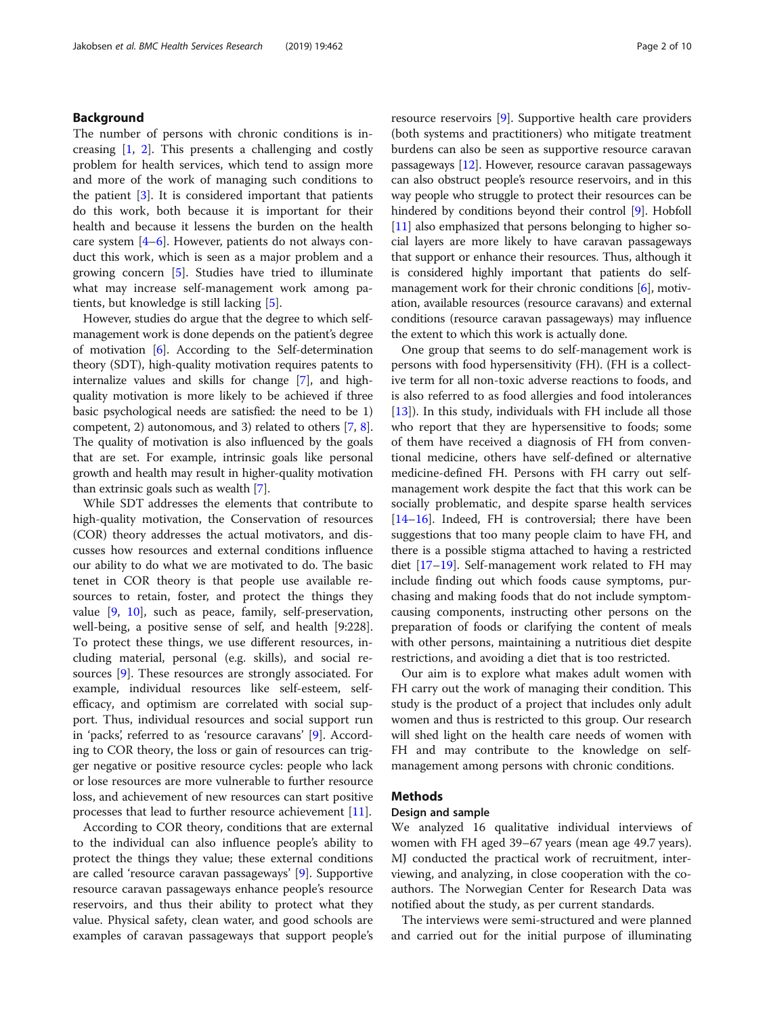# Background

The number of persons with chronic conditions is increasing [\[1](#page-9-0), [2\]](#page-9-0). This presents a challenging and costly problem for health services, which tend to assign more and more of the work of managing such conditions to the patient [\[3](#page-9-0)]. It is considered important that patients do this work, both because it is important for their health and because it lessens the burden on the health care system [[4](#page-9-0)–[6\]](#page-9-0). However, patients do not always conduct this work, which is seen as a major problem and a growing concern [[5\]](#page-9-0). Studies have tried to illuminate what may increase self-management work among patients, but knowledge is still lacking [[5](#page-9-0)].

However, studies do argue that the degree to which selfmanagement work is done depends on the patient's degree of motivation [[6\]](#page-9-0). According to the Self-determination theory (SDT), high-quality motivation requires patents to internalize values and skills for change [[7](#page-9-0)], and highquality motivation is more likely to be achieved if three basic psychological needs are satisfied: the need to be 1) competent, 2) autonomous, and 3) related to others [[7,](#page-9-0) [8](#page-9-0)]. The quality of motivation is also influenced by the goals that are set. For example, intrinsic goals like personal growth and health may result in higher-quality motivation than extrinsic goals such as wealth [\[7](#page-9-0)].

While SDT addresses the elements that contribute to high-quality motivation, the Conservation of resources (COR) theory addresses the actual motivators, and discusses how resources and external conditions influence our ability to do what we are motivated to do. The basic tenet in COR theory is that people use available resources to retain, foster, and protect the things they value [[9](#page-9-0), [10\]](#page-9-0), such as peace, family, self-preservation, well-being, a positive sense of self, and health [9:228]. To protect these things, we use different resources, including material, personal (e.g. skills), and social resources [[9\]](#page-9-0). These resources are strongly associated. For example, individual resources like self-esteem, selfefficacy, and optimism are correlated with social support. Thus, individual resources and social support run in 'packs', referred to as 'resource caravans' [\[9](#page-9-0)]. According to COR theory, the loss or gain of resources can trigger negative or positive resource cycles: people who lack or lose resources are more vulnerable to further resource loss, and achievement of new resources can start positive processes that lead to further resource achievement [\[11](#page-9-0)].

According to COR theory, conditions that are external to the individual can also influence people's ability to protect the things they value; these external conditions are called 'resource caravan passageways' [[9\]](#page-9-0). Supportive resource caravan passageways enhance people's resource reservoirs, and thus their ability to protect what they value. Physical safety, clean water, and good schools are examples of caravan passageways that support people's resource reservoirs [[9\]](#page-9-0). Supportive health care providers (both systems and practitioners) who mitigate treatment burdens can also be seen as supportive resource caravan passageways [\[12\]](#page-9-0). However, resource caravan passageways can also obstruct people's resource reservoirs, and in this way people who struggle to protect their resources can be hindered by conditions beyond their control [\[9](#page-9-0)]. Hobfoll [[11](#page-9-0)] also emphasized that persons belonging to higher social layers are more likely to have caravan passageways that support or enhance their resources. Thus, although it is considered highly important that patients do self-management work for their chronic conditions [\[6\]](#page-9-0), motivation, available resources (resource caravans) and external conditions (resource caravan passageways) may influence the extent to which this work is actually done.

One group that seems to do self-management work is persons with food hypersensitivity (FH). (FH is a collective term for all non-toxic adverse reactions to foods, and is also referred to as food allergies and food intolerances [[13\]](#page-9-0)). In this study, individuals with FH include all those who report that they are hypersensitive to foods; some of them have received a diagnosis of FH from conventional medicine, others have self-defined or alternative medicine-defined FH. Persons with FH carry out selfmanagement work despite the fact that this work can be socially problematic, and despite sparse health services [[14](#page-9-0)–[16](#page-9-0)]. Indeed, FH is controversial; there have been suggestions that too many people claim to have FH, and there is a possible stigma attached to having a restricted diet [\[17](#page-9-0)–[19\]](#page-9-0). Self-management work related to FH may include finding out which foods cause symptoms, purchasing and making foods that do not include symptomcausing components, instructing other persons on the preparation of foods or clarifying the content of meals with other persons, maintaining a nutritious diet despite restrictions, and avoiding a diet that is too restricted.

Our aim is to explore what makes adult women with FH carry out the work of managing their condition. This study is the product of a project that includes only adult women and thus is restricted to this group. Our research will shed light on the health care needs of women with FH and may contribute to the knowledge on selfmanagement among persons with chronic conditions.

# Methods

# Design and sample

We analyzed 16 qualitative individual interviews of women with FH aged 39–67 years (mean age 49.7 years). MJ conducted the practical work of recruitment, interviewing, and analyzing, in close cooperation with the coauthors. The Norwegian Center for Research Data was notified about the study, as per current standards.

The interviews were semi-structured and were planned and carried out for the initial purpose of illuminating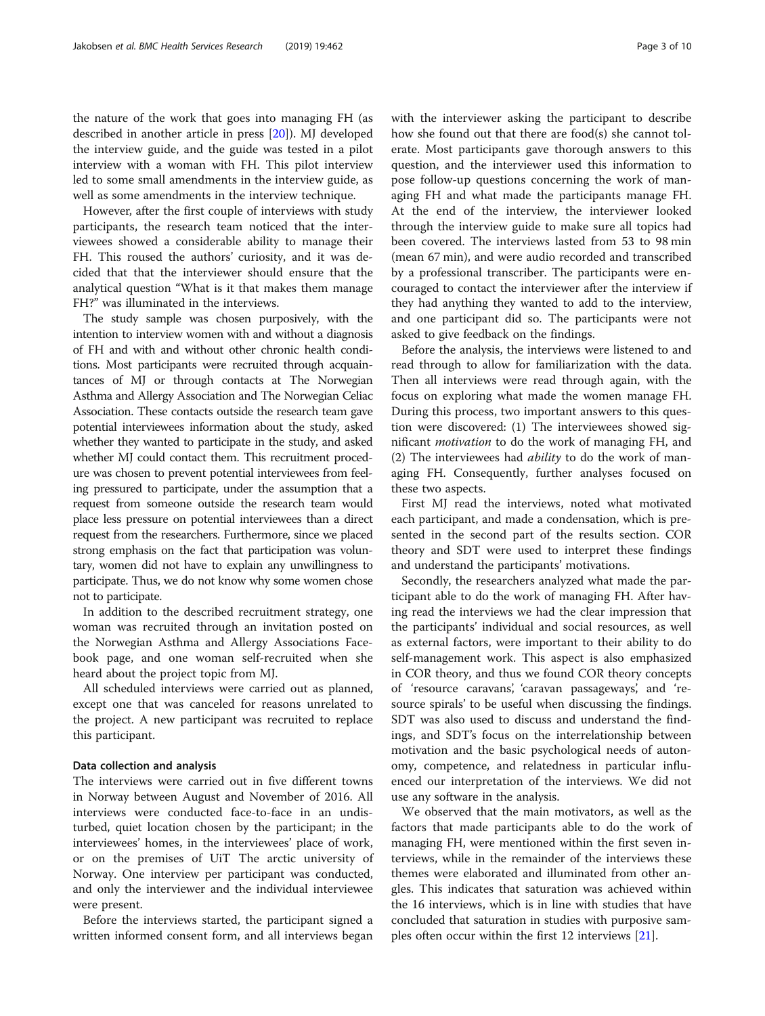the nature of the work that goes into managing FH (as described in another article in press [\[20](#page-9-0)]). MJ developed the interview guide, and the guide was tested in a pilot interview with a woman with FH. This pilot interview led to some small amendments in the interview guide, as well as some amendments in the interview technique.

However, after the first couple of interviews with study participants, the research team noticed that the interviewees showed a considerable ability to manage their FH. This roused the authors' curiosity, and it was decided that that the interviewer should ensure that the analytical question "What is it that makes them manage FH?" was illuminated in the interviews.

The study sample was chosen purposively, with the intention to interview women with and without a diagnosis of FH and with and without other chronic health conditions. Most participants were recruited through acquaintances of MJ or through contacts at The Norwegian Asthma and Allergy Association and The Norwegian Celiac Association. These contacts outside the research team gave potential interviewees information about the study, asked whether they wanted to participate in the study, and asked whether MJ could contact them. This recruitment procedure was chosen to prevent potential interviewees from feeling pressured to participate, under the assumption that a request from someone outside the research team would place less pressure on potential interviewees than a direct request from the researchers. Furthermore, since we placed strong emphasis on the fact that participation was voluntary, women did not have to explain any unwillingness to participate. Thus, we do not know why some women chose not to participate.

In addition to the described recruitment strategy, one woman was recruited through an invitation posted on the Norwegian Asthma and Allergy Associations Facebook page, and one woman self-recruited when she heard about the project topic from MJ.

All scheduled interviews were carried out as planned, except one that was canceled for reasons unrelated to the project. A new participant was recruited to replace this participant.

# Data collection and analysis

The interviews were carried out in five different towns in Norway between August and November of 2016. All interviews were conducted face-to-face in an undisturbed, quiet location chosen by the participant; in the interviewees' homes, in the interviewees' place of work, or on the premises of UiT The arctic university of Norway. One interview per participant was conducted, and only the interviewer and the individual interviewee were present.

Before the interviews started, the participant signed a written informed consent form, and all interviews began with the interviewer asking the participant to describe how she found out that there are food(s) she cannot tolerate. Most participants gave thorough answers to this question, and the interviewer used this information to pose follow-up questions concerning the work of managing FH and what made the participants manage FH. At the end of the interview, the interviewer looked through the interview guide to make sure all topics had been covered. The interviews lasted from 53 to 98 min (mean 67 min), and were audio recorded and transcribed by a professional transcriber. The participants were encouraged to contact the interviewer after the interview if they had anything they wanted to add to the interview, and one participant did so. The participants were not asked to give feedback on the findings.

Before the analysis, the interviews were listened to and read through to allow for familiarization with the data. Then all interviews were read through again, with the focus on exploring what made the women manage FH. During this process, two important answers to this question were discovered: (1) The interviewees showed significant motivation to do the work of managing FH, and (2) The interviewees had *ability* to do the work of managing FH. Consequently, further analyses focused on these two aspects.

First MJ read the interviews, noted what motivated each participant, and made a condensation, which is presented in the second part of the results section. COR theory and SDT were used to interpret these findings and understand the participants' motivations.

Secondly, the researchers analyzed what made the participant able to do the work of managing FH. After having read the interviews we had the clear impression that the participants' individual and social resources, as well as external factors, were important to their ability to do self-management work. This aspect is also emphasized in COR theory, and thus we found COR theory concepts of 'resource caravans', 'caravan passageways', and 'resource spirals' to be useful when discussing the findings. SDT was also used to discuss and understand the findings, and SDT's focus on the interrelationship between motivation and the basic psychological needs of autonomy, competence, and relatedness in particular influenced our interpretation of the interviews. We did not use any software in the analysis.

We observed that the main motivators, as well as the factors that made participants able to do the work of managing FH, were mentioned within the first seven interviews, while in the remainder of the interviews these themes were elaborated and illuminated from other angles. This indicates that saturation was achieved within the 16 interviews, which is in line with studies that have concluded that saturation in studies with purposive samples often occur within the first 12 interviews [\[21](#page-9-0)].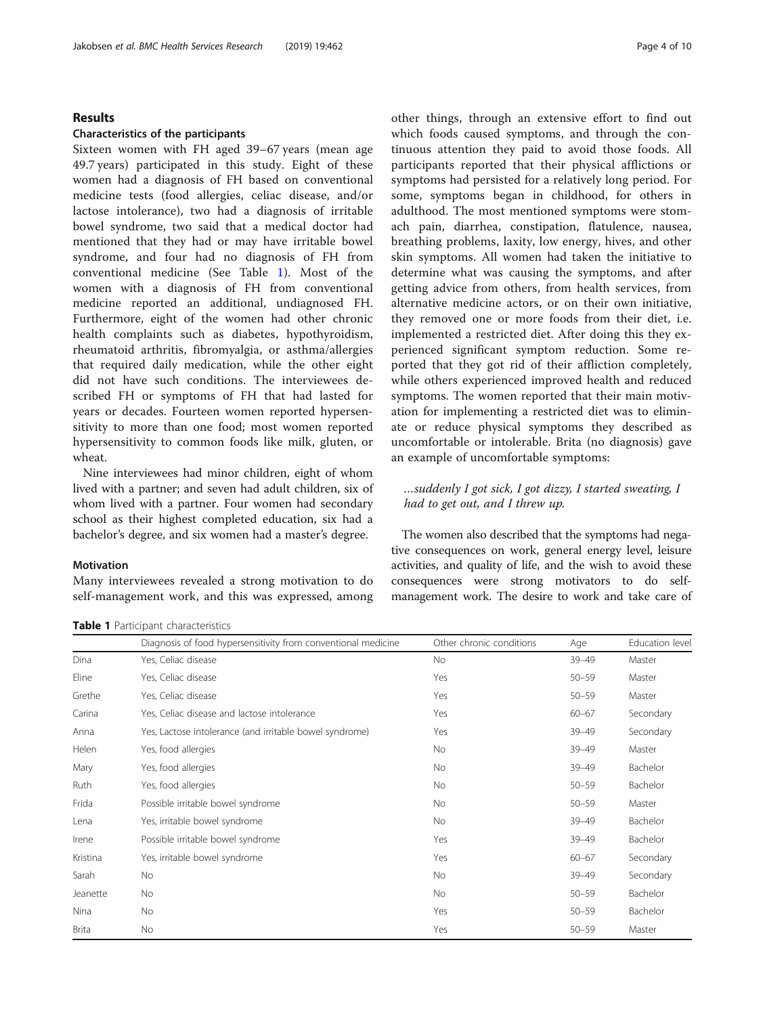# Jakobsen et al. BMC Health Services Research (2019) 19:462 Page 4 of 10

# Results

# Characteristics of the participants

Sixteen women with FH aged 39–67 years (mean age 49.7 years) participated in this study. Eight of these women had a diagnosis of FH based on conventional medicine tests (food allergies, celiac disease, and/or lactose intolerance), two had a diagnosis of irritable bowel syndrome, two said that a medical doctor had mentioned that they had or may have irritable bowel syndrome, and four had no diagnosis of FH from conventional medicine (See Table 1). Most of the women with a diagnosis of FH from conventional medicine reported an additional, undiagnosed FH. Furthermore, eight of the women had other chronic health complaints such as diabetes, hypothyroidism, rheumatoid arthritis, fibromyalgia, or asthma/allergies that required daily medication, while the other eight did not have such conditions. The interviewees described FH or symptoms of FH that had lasted for years or decades. Fourteen women reported hypersensitivity to more than one food; most women reported hypersensitivity to common foods like milk, gluten, or wheat.

Nine interviewees had minor children, eight of whom lived with a partner; and seven had adult children, six of whom lived with a partner. Four women had secondary school as their highest completed education, six had a bachelor's degree, and six women had a master's degree.

# Motivation

Many interviewees revealed a strong motivation to do self-management work, and this was expressed, among

Table 1 Participant characteristics

other things, through an extensive effort to find out which foods caused symptoms, and through the continuous attention they paid to avoid those foods. All participants reported that their physical afflictions or symptoms had persisted for a relatively long period. For some, symptoms began in childhood, for others in adulthood. The most mentioned symptoms were stomach pain, diarrhea, constipation, flatulence, nausea, breathing problems, laxity, low energy, hives, and other skin symptoms. All women had taken the initiative to determine what was causing the symptoms, and after getting advice from others, from health services, from alternative medicine actors, or on their own initiative, they removed one or more foods from their diet, i.e. implemented a restricted diet. After doing this they experienced significant symptom reduction. Some reported that they got rid of their affliction completely, while others experienced improved health and reduced symptoms. The women reported that their main motivation for implementing a restricted diet was to eliminate or reduce physical symptoms they described as uncomfortable or intolerable. Brita (no diagnosis) gave an example of uncomfortable symptoms:

# …suddenly I got sick, I got dizzy, I started sweating, I had to get out, and I threw up.

The women also described that the symptoms had negative consequences on work, general energy level, leisure activities, and quality of life, and the wish to avoid these consequences were strong motivators to do selfmanagement work. The desire to work and take care of

|              | Diagnosis of food hypersensitivity from conventional medicine | Other chronic conditions | Age       | Education level |
|--------------|---------------------------------------------------------------|--------------------------|-----------|-----------------|
| Dina         | Yes, Celiac disease                                           | No                       | $39 - 49$ | Master          |
| Eline        | Yes, Celiac disease                                           | Yes                      | $50 - 59$ | Master          |
| Grethe       | Yes, Celiac disease                                           | Yes                      | $50 - 59$ | Master          |
| Carina       | Yes, Celiac disease and lactose intolerance                   | Yes                      | $60 - 67$ | Secondary       |
| Anna         | Yes, Lactose intolerance (and irritable bowel syndrome)       | Yes                      | 39-49     | Secondary       |
| Helen        | Yes, food allergies                                           | No                       | 39-49     | Master          |
| Mary         | Yes, food allergies                                           | <b>No</b>                | 39-49     | Bachelor        |
| Ruth         | Yes, food allergies                                           | No                       | $50 - 59$ | Bachelor        |
| Frida        | Possible irritable bowel syndrome                             | No                       | $50 - 59$ | Master          |
| Lena         | Yes, irritable bowel syndrome                                 | No.                      | $39 - 49$ | Bachelor        |
| Irene        | Possible irritable bowel syndrome                             | Yes                      | 39-49     | Bachelor        |
| Kristina     | Yes, irritable bowel syndrome                                 | Yes                      | $60 - 67$ | Secondary       |
| Sarah        | No                                                            | No                       | 39-49     | Secondary       |
| Jeanette     | No                                                            | No.                      | $50 - 59$ | Bachelor        |
| Nina         | No                                                            | Yes                      | $50 - 59$ | Bachelor        |
| <b>Brita</b> | No                                                            | Yes                      | $50 - 59$ | Master          |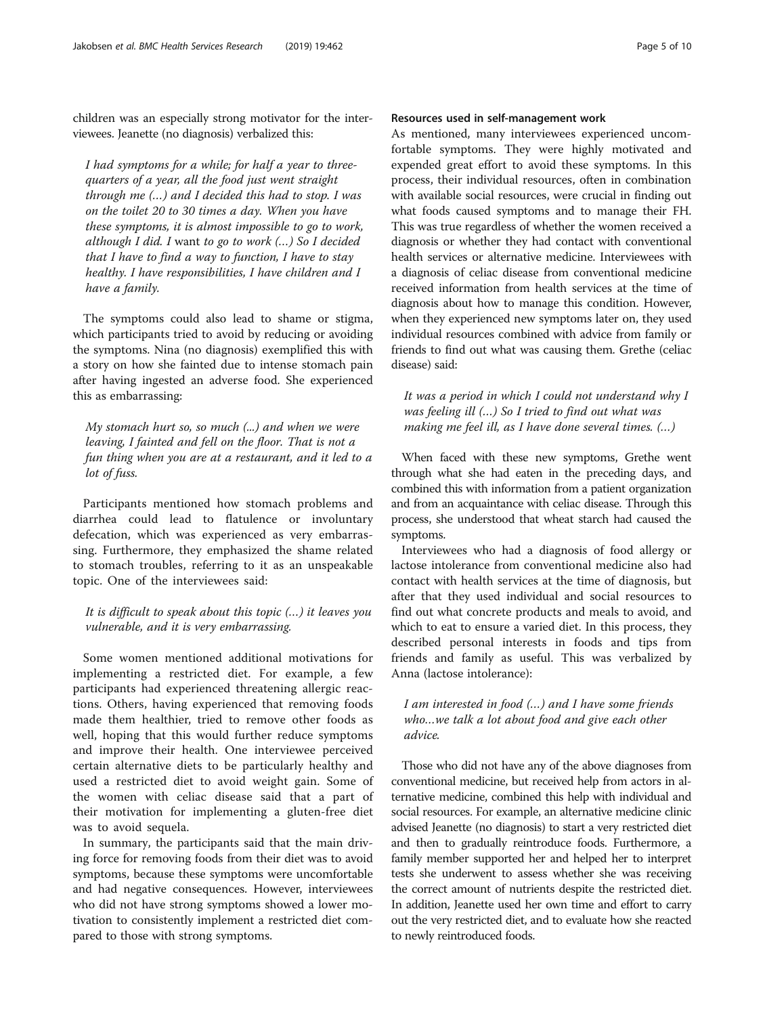children was an especially strong motivator for the interviewees. Jeanette (no diagnosis) verbalized this:

I had symptoms for a while; for half a year to threequarters of a year, all the food just went straight through me (…) and I decided this had to stop. I was on the toilet 20 to 30 times a day. When you have these symptoms, it is almost impossible to go to work, although I did. I want to go to work (…) So I decided that I have to find a way to function, I have to stay healthy. I have responsibilities, I have children and I have a family.

The symptoms could also lead to shame or stigma, which participants tried to avoid by reducing or avoiding the symptoms. Nina (no diagnosis) exemplified this with a story on how she fainted due to intense stomach pain after having ingested an adverse food. She experienced this as embarrassing:

My stomach hurt so, so much (...) and when we were leaving, I fainted and fell on the floor. That is not a fun thing when you are at a restaurant, and it led to a lot of fuss.

Participants mentioned how stomach problems and diarrhea could lead to flatulence or involuntary defecation, which was experienced as very embarrassing. Furthermore, they emphasized the shame related to stomach troubles, referring to it as an unspeakable topic. One of the interviewees said:

It is difficult to speak about this topic (…) it leaves you vulnerable, and it is very embarrassing.

Some women mentioned additional motivations for implementing a restricted diet. For example, a few participants had experienced threatening allergic reactions. Others, having experienced that removing foods made them healthier, tried to remove other foods as well, hoping that this would further reduce symptoms and improve their health. One interviewee perceived certain alternative diets to be particularly healthy and used a restricted diet to avoid weight gain. Some of the women with celiac disease said that a part of their motivation for implementing a gluten-free diet was to avoid sequela.

In summary, the participants said that the main driving force for removing foods from their diet was to avoid symptoms, because these symptoms were uncomfortable and had negative consequences. However, interviewees who did not have strong symptoms showed a lower motivation to consistently implement a restricted diet compared to those with strong symptoms.

# Resources used in self-management work

As mentioned, many interviewees experienced uncomfortable symptoms. They were highly motivated and expended great effort to avoid these symptoms. In this process, their individual resources, often in combination with available social resources, were crucial in finding out what foods caused symptoms and to manage their FH. This was true regardless of whether the women received a diagnosis or whether they had contact with conventional health services or alternative medicine. Interviewees with a diagnosis of celiac disease from conventional medicine received information from health services at the time of diagnosis about how to manage this condition. However, when they experienced new symptoms later on, they used individual resources combined with advice from family or friends to find out what was causing them. Grethe (celiac disease) said:

It was a period in which I could not understand why I was feeling ill (…) So I tried to find out what was making me feel ill, as I have done several times. (…)

When faced with these new symptoms, Grethe went through what she had eaten in the preceding days, and combined this with information from a patient organization and from an acquaintance with celiac disease. Through this process, she understood that wheat starch had caused the symptoms.

Interviewees who had a diagnosis of food allergy or lactose intolerance from conventional medicine also had contact with health services at the time of diagnosis, but after that they used individual and social resources to find out what concrete products and meals to avoid, and which to eat to ensure a varied diet. In this process, they described personal interests in foods and tips from friends and family as useful. This was verbalized by Anna (lactose intolerance):

# I am interested in food (…) and I have some friends who…we talk a lot about food and give each other advice.

Those who did not have any of the above diagnoses from conventional medicine, but received help from actors in alternative medicine, combined this help with individual and social resources. For example, an alternative medicine clinic advised Jeanette (no diagnosis) to start a very restricted diet and then to gradually reintroduce foods. Furthermore, a family member supported her and helped her to interpret tests she underwent to assess whether she was receiving the correct amount of nutrients despite the restricted diet. In addition, Jeanette used her own time and effort to carry out the very restricted diet, and to evaluate how she reacted to newly reintroduced foods.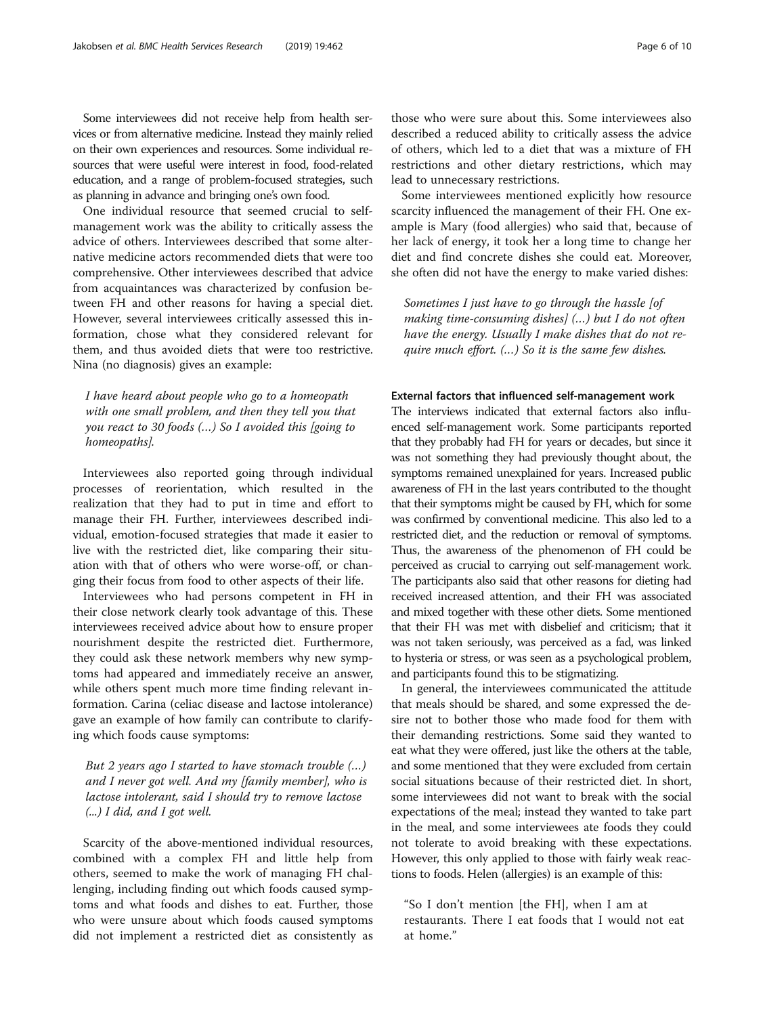Some interviewees did not receive help from health services or from alternative medicine. Instead they mainly relied on their own experiences and resources. Some individual resources that were useful were interest in food, food-related education, and a range of problem-focused strategies, such as planning in advance and bringing one's own food.

One individual resource that seemed crucial to selfmanagement work was the ability to critically assess the advice of others. Interviewees described that some alternative medicine actors recommended diets that were too comprehensive. Other interviewees described that advice from acquaintances was characterized by confusion between FH and other reasons for having a special diet. However, several interviewees critically assessed this information, chose what they considered relevant for them, and thus avoided diets that were too restrictive. Nina (no diagnosis) gives an example:

I have heard about people who go to a homeopath with one small problem, and then they tell you that you react to 30 foods (…) So I avoided this [going to homeopaths].

Interviewees also reported going through individual processes of reorientation, which resulted in the realization that they had to put in time and effort to manage their FH. Further, interviewees described individual, emotion-focused strategies that made it easier to live with the restricted diet, like comparing their situation with that of others who were worse-off, or changing their focus from food to other aspects of their life.

Interviewees who had persons competent in FH in their close network clearly took advantage of this. These interviewees received advice about how to ensure proper nourishment despite the restricted diet. Furthermore, they could ask these network members why new symptoms had appeared and immediately receive an answer, while others spent much more time finding relevant information. Carina (celiac disease and lactose intolerance) gave an example of how family can contribute to clarifying which foods cause symptoms:

But 2 years ago I started to have stomach trouble (…) and I never got well. And my [family member], who is lactose intolerant, said I should try to remove lactose (...) I did, and I got well.

Scarcity of the above-mentioned individual resources, combined with a complex FH and little help from others, seemed to make the work of managing FH challenging, including finding out which foods caused symptoms and what foods and dishes to eat. Further, those who were unsure about which foods caused symptoms did not implement a restricted diet as consistently as

those who were sure about this. Some interviewees also described a reduced ability to critically assess the advice of others, which led to a diet that was a mixture of FH restrictions and other dietary restrictions, which may lead to unnecessary restrictions.

Some interviewees mentioned explicitly how resource scarcity influenced the management of their FH. One example is Mary (food allergies) who said that, because of her lack of energy, it took her a long time to change her diet and find concrete dishes she could eat. Moreover, she often did not have the energy to make varied dishes:

Sometimes I just have to go through the hassle [of making time-consuming dishes] (…) but I do not often have the energy. Usually I make dishes that do not require much effort. (…) So it is the same few dishes.

# External factors that influenced self-management work

The interviews indicated that external factors also influenced self-management work. Some participants reported that they probably had FH for years or decades, but since it was not something they had previously thought about, the symptoms remained unexplained for years. Increased public awareness of FH in the last years contributed to the thought that their symptoms might be caused by FH, which for some was confirmed by conventional medicine. This also led to a restricted diet, and the reduction or removal of symptoms. Thus, the awareness of the phenomenon of FH could be perceived as crucial to carrying out self-management work. The participants also said that other reasons for dieting had received increased attention, and their FH was associated and mixed together with these other diets. Some mentioned that their FH was met with disbelief and criticism; that it was not taken seriously, was perceived as a fad, was linked to hysteria or stress, or was seen as a psychological problem, and participants found this to be stigmatizing.

In general, the interviewees communicated the attitude that meals should be shared, and some expressed the desire not to bother those who made food for them with their demanding restrictions. Some said they wanted to eat what they were offered, just like the others at the table, and some mentioned that they were excluded from certain social situations because of their restricted diet. In short, some interviewees did not want to break with the social expectations of the meal; instead they wanted to take part in the meal, and some interviewees ate foods they could not tolerate to avoid breaking with these expectations. However, this only applied to those with fairly weak reactions to foods. Helen (allergies) is an example of this:

"So I don't mention [the FH], when I am at restaurants. There I eat foods that I would not eat at home."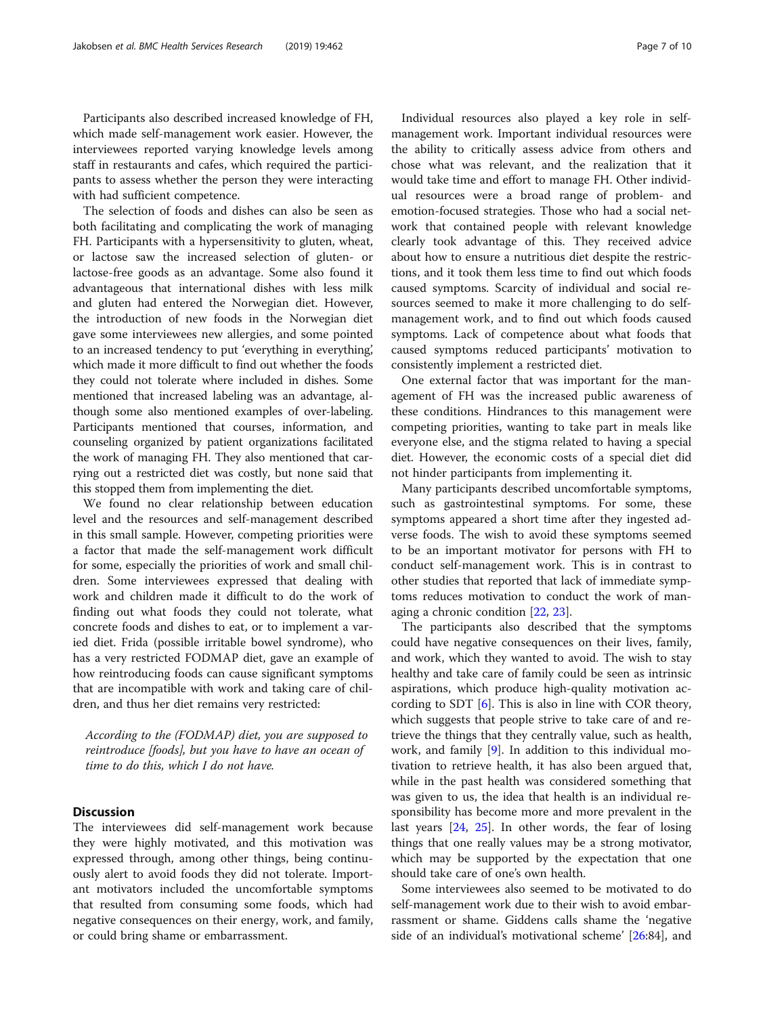Participants also described increased knowledge of FH, which made self-management work easier. However, the interviewees reported varying knowledge levels among staff in restaurants and cafes, which required the participants to assess whether the person they were interacting with had sufficient competence.

The selection of foods and dishes can also be seen as both facilitating and complicating the work of managing FH. Participants with a hypersensitivity to gluten, wheat, or lactose saw the increased selection of gluten- or lactose-free goods as an advantage. Some also found it advantageous that international dishes with less milk and gluten had entered the Norwegian diet. However, the introduction of new foods in the Norwegian diet gave some interviewees new allergies, and some pointed to an increased tendency to put 'everything in everything', which made it more difficult to find out whether the foods they could not tolerate where included in dishes. Some mentioned that increased labeling was an advantage, although some also mentioned examples of over-labeling. Participants mentioned that courses, information, and counseling organized by patient organizations facilitated the work of managing FH. They also mentioned that carrying out a restricted diet was costly, but none said that this stopped them from implementing the diet.

We found no clear relationship between education level and the resources and self-management described in this small sample. However, competing priorities were a factor that made the self-management work difficult for some, especially the priorities of work and small children. Some interviewees expressed that dealing with work and children made it difficult to do the work of finding out what foods they could not tolerate, what concrete foods and dishes to eat, or to implement a varied diet. Frida (possible irritable bowel syndrome), who has a very restricted FODMAP diet, gave an example of how reintroducing foods can cause significant symptoms that are incompatible with work and taking care of children, and thus her diet remains very restricted:

According to the (FODMAP) diet, you are supposed to reintroduce [foods], but you have to have an ocean of time to do this, which I do not have.

# **Discussion**

The interviewees did self-management work because they were highly motivated, and this motivation was expressed through, among other things, being continuously alert to avoid foods they did not tolerate. Important motivators included the uncomfortable symptoms that resulted from consuming some foods, which had negative consequences on their energy, work, and family, or could bring shame or embarrassment.

Individual resources also played a key role in selfmanagement work. Important individual resources were the ability to critically assess advice from others and chose what was relevant, and the realization that it would take time and effort to manage FH. Other individual resources were a broad range of problem- and emotion-focused strategies. Those who had a social network that contained people with relevant knowledge clearly took advantage of this. They received advice about how to ensure a nutritious diet despite the restrictions, and it took them less time to find out which foods caused symptoms. Scarcity of individual and social resources seemed to make it more challenging to do selfmanagement work, and to find out which foods caused symptoms. Lack of competence about what foods that caused symptoms reduced participants' motivation to consistently implement a restricted diet.

One external factor that was important for the management of FH was the increased public awareness of these conditions. Hindrances to this management were competing priorities, wanting to take part in meals like everyone else, and the stigma related to having a special diet. However, the economic costs of a special diet did not hinder participants from implementing it.

Many participants described uncomfortable symptoms, such as gastrointestinal symptoms. For some, these symptoms appeared a short time after they ingested adverse foods. The wish to avoid these symptoms seemed to be an important motivator for persons with FH to conduct self-management work. This is in contrast to other studies that reported that lack of immediate symptoms reduces motivation to conduct the work of managing a chronic condition [[22](#page-9-0), [23](#page-9-0)].

The participants also described that the symptoms could have negative consequences on their lives, family, and work, which they wanted to avoid. The wish to stay healthy and take care of family could be seen as intrinsic aspirations, which produce high-quality motivation according to SDT  $[6]$  $[6]$ . This is also in line with COR theory, which suggests that people strive to take care of and retrieve the things that they centrally value, such as health, work, and family [[9](#page-9-0)]. In addition to this individual motivation to retrieve health, it has also been argued that, while in the past health was considered something that was given to us, the idea that health is an individual responsibility has become more and more prevalent in the last years [[24,](#page-9-0) [25\]](#page-9-0). In other words, the fear of losing things that one really values may be a strong motivator, which may be supported by the expectation that one should take care of one's own health.

Some interviewees also seemed to be motivated to do self-management work due to their wish to avoid embarrassment or shame. Giddens calls shame the 'negative side of an individual's motivational scheme' [[26:](#page-9-0)84], and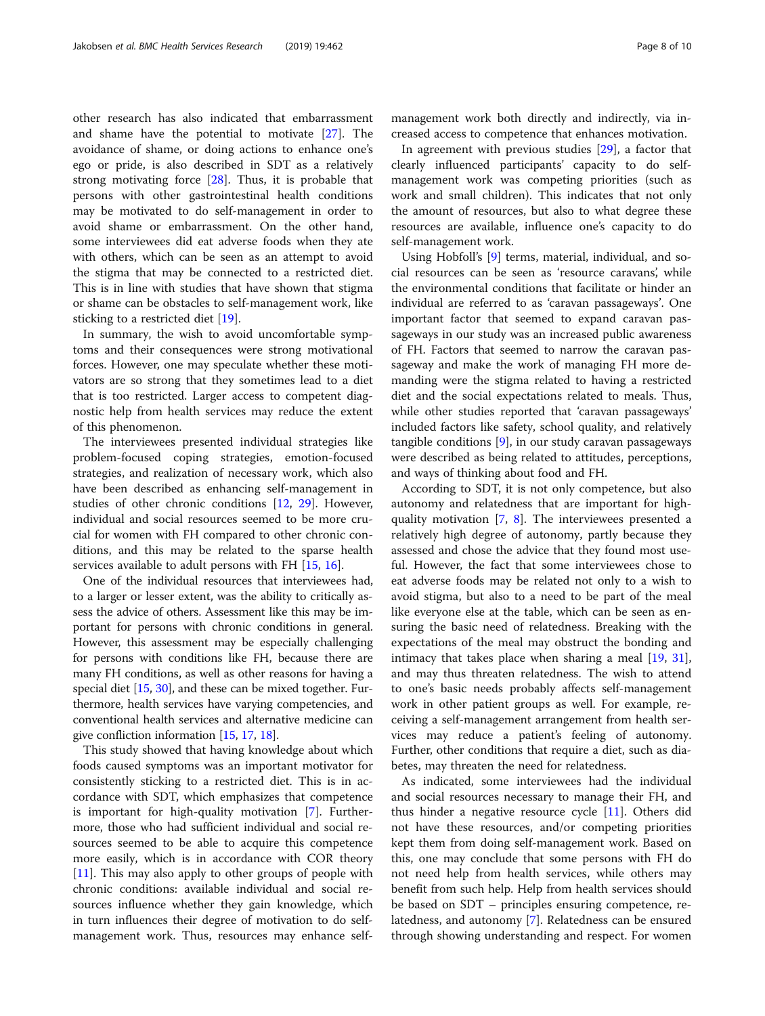other research has also indicated that embarrassment and shame have the potential to motivate [\[27](#page-9-0)]. The avoidance of shame, or doing actions to enhance one's ego or pride, is also described in SDT as a relatively strong motivating force [\[28](#page-9-0)]. Thus, it is probable that persons with other gastrointestinal health conditions may be motivated to do self-management in order to avoid shame or embarrassment. On the other hand, some interviewees did eat adverse foods when they ate with others, which can be seen as an attempt to avoid the stigma that may be connected to a restricted diet. This is in line with studies that have shown that stigma or shame can be obstacles to self-management work, like sticking to a restricted diet [[19](#page-9-0)].

In summary, the wish to avoid uncomfortable symptoms and their consequences were strong motivational forces. However, one may speculate whether these motivators are so strong that they sometimes lead to a diet that is too restricted. Larger access to competent diagnostic help from health services may reduce the extent of this phenomenon.

The interviewees presented individual strategies like problem-focused coping strategies, emotion-focused strategies, and realization of necessary work, which also have been described as enhancing self-management in studies of other chronic conditions [[12,](#page-9-0) [29](#page-9-0)]. However, individual and social resources seemed to be more crucial for women with FH compared to other chronic conditions, and this may be related to the sparse health services available to adult persons with FH [[15,](#page-9-0) [16\]](#page-9-0).

One of the individual resources that interviewees had, to a larger or lesser extent, was the ability to critically assess the advice of others. Assessment like this may be important for persons with chronic conditions in general. However, this assessment may be especially challenging for persons with conditions like FH, because there are many FH conditions, as well as other reasons for having a special diet [[15,](#page-9-0) [30\]](#page-9-0), and these can be mixed together. Furthermore, health services have varying competencies, and conventional health services and alternative medicine can give confliction information [[15](#page-9-0), [17,](#page-9-0) [18\]](#page-9-0).

This study showed that having knowledge about which foods caused symptoms was an important motivator for consistently sticking to a restricted diet. This is in accordance with SDT, which emphasizes that competence is important for high-quality motivation [[7](#page-9-0)]. Furthermore, those who had sufficient individual and social resources seemed to be able to acquire this competence more easily, which is in accordance with COR theory [[11\]](#page-9-0). This may also apply to other groups of people with chronic conditions: available individual and social resources influence whether they gain knowledge, which in turn influences their degree of motivation to do selfmanagement work. Thus, resources may enhance self-

management work both directly and indirectly, via increased access to competence that enhances motivation.

In agreement with previous studies [[29](#page-9-0)], a factor that clearly influenced participants' capacity to do selfmanagement work was competing priorities (such as work and small children). This indicates that not only the amount of resources, but also to what degree these resources are available, influence one's capacity to do self-management work.

Using Hobfoll's [\[9](#page-9-0)] terms, material, individual, and social resources can be seen as 'resource caravans', while the environmental conditions that facilitate or hinder an individual are referred to as 'caravan passageways'. One important factor that seemed to expand caravan passageways in our study was an increased public awareness of FH. Factors that seemed to narrow the caravan passageway and make the work of managing FH more demanding were the stigma related to having a restricted diet and the social expectations related to meals. Thus, while other studies reported that 'caravan passageways' included factors like safety, school quality, and relatively tangible conditions  $[9]$  $[9]$ , in our study caravan passageways were described as being related to attitudes, perceptions, and ways of thinking about food and FH.

According to SDT, it is not only competence, but also autonomy and relatedness that are important for highquality motivation [[7](#page-9-0), [8\]](#page-9-0). The interviewees presented a relatively high degree of autonomy, partly because they assessed and chose the advice that they found most useful. However, the fact that some interviewees chose to eat adverse foods may be related not only to a wish to avoid stigma, but also to a need to be part of the meal like everyone else at the table, which can be seen as ensuring the basic need of relatedness. Breaking with the expectations of the meal may obstruct the bonding and intimacy that takes place when sharing a meal [[19](#page-9-0), [31](#page-9-0)], and may thus threaten relatedness. The wish to attend to one's basic needs probably affects self-management work in other patient groups as well. For example, receiving a self-management arrangement from health services may reduce a patient's feeling of autonomy. Further, other conditions that require a diet, such as diabetes, may threaten the need for relatedness.

As indicated, some interviewees had the individual and social resources necessary to manage their FH, and thus hinder a negative resource cycle [\[11\]](#page-9-0). Others did not have these resources, and/or competing priorities kept them from doing self-management work. Based on this, one may conclude that some persons with FH do not need help from health services, while others may benefit from such help. Help from health services should be based on SDT – principles ensuring competence, relatedness, and autonomy [[7\]](#page-9-0). Relatedness can be ensured through showing understanding and respect. For women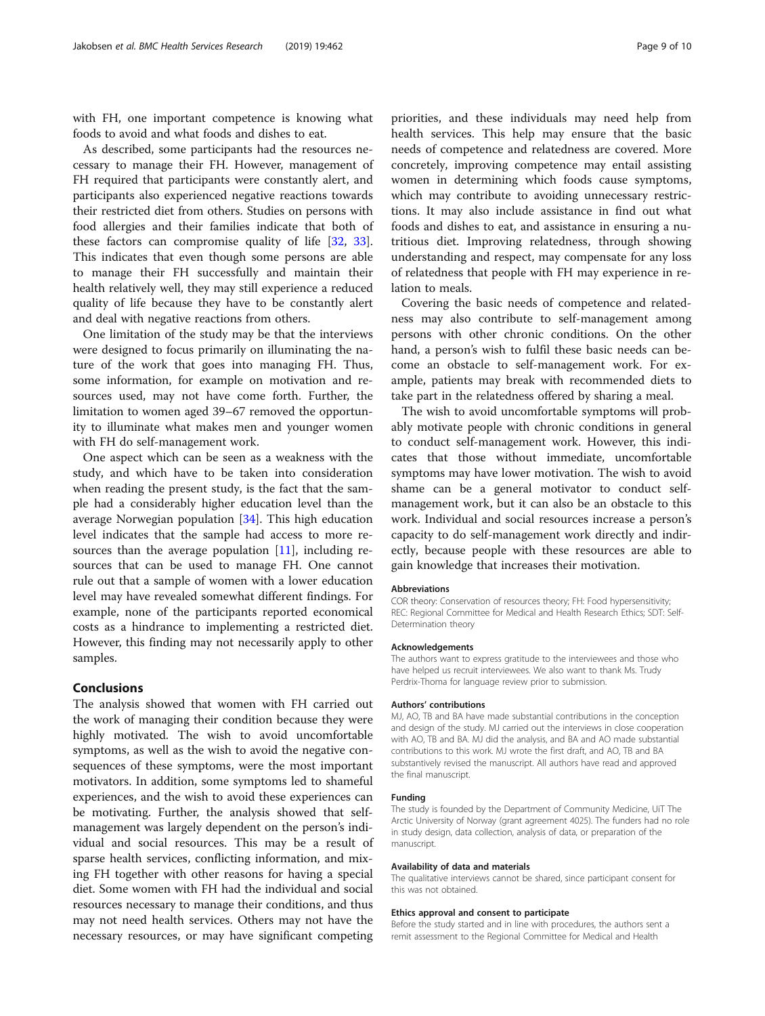with FH, one important competence is knowing what foods to avoid and what foods and dishes to eat.

As described, some participants had the resources necessary to manage their FH. However, management of FH required that participants were constantly alert, and participants also experienced negative reactions towards their restricted diet from others. Studies on persons with food allergies and their families indicate that both of these factors can compromise quality of life [\[32,](#page-9-0) [33](#page-9-0)]. This indicates that even though some persons are able to manage their FH successfully and maintain their health relatively well, they may still experience a reduced quality of life because they have to be constantly alert and deal with negative reactions from others.

One limitation of the study may be that the interviews were designed to focus primarily on illuminating the nature of the work that goes into managing FH. Thus, some information, for example on motivation and resources used, may not have come forth. Further, the limitation to women aged 39–67 removed the opportunity to illuminate what makes men and younger women with FH do self-management work.

One aspect which can be seen as a weakness with the study, and which have to be taken into consideration when reading the present study, is the fact that the sample had a considerably higher education level than the average Norwegian population [\[34\]](#page-9-0). This high education level indicates that the sample had access to more resources than the average population  $[11]$ , including resources that can be used to manage FH. One cannot rule out that a sample of women with a lower education level may have revealed somewhat different findings. For example, none of the participants reported economical costs as a hindrance to implementing a restricted diet. However, this finding may not necessarily apply to other samples.

# Conclusions

The analysis showed that women with FH carried out the work of managing their condition because they were highly motivated. The wish to avoid uncomfortable symptoms, as well as the wish to avoid the negative consequences of these symptoms, were the most important motivators. In addition, some symptoms led to shameful experiences, and the wish to avoid these experiences can be motivating. Further, the analysis showed that selfmanagement was largely dependent on the person's individual and social resources. This may be a result of sparse health services, conflicting information, and mixing FH together with other reasons for having a special diet. Some women with FH had the individual and social resources necessary to manage their conditions, and thus may not need health services. Others may not have the necessary resources, or may have significant competing

priorities, and these individuals may need help from health services. This help may ensure that the basic needs of competence and relatedness are covered. More concretely, improving competence may entail assisting women in determining which foods cause symptoms, which may contribute to avoiding unnecessary restrictions. It may also include assistance in find out what foods and dishes to eat, and assistance in ensuring a nutritious diet. Improving relatedness, through showing understanding and respect, may compensate for any loss of relatedness that people with FH may experience in relation to meals.

Covering the basic needs of competence and relatedness may also contribute to self-management among persons with other chronic conditions. On the other hand, a person's wish to fulfil these basic needs can become an obstacle to self-management work. For example, patients may break with recommended diets to take part in the relatedness offered by sharing a meal.

The wish to avoid uncomfortable symptoms will probably motivate people with chronic conditions in general to conduct self-management work. However, this indicates that those without immediate, uncomfortable symptoms may have lower motivation. The wish to avoid shame can be a general motivator to conduct selfmanagement work, but it can also be an obstacle to this work. Individual and social resources increase a person's capacity to do self-management work directly and indirectly, because people with these resources are able to gain knowledge that increases their motivation.

#### Abbreviations

COR theory: Conservation of resources theory; FH: Food hypersensitivity; REC: Regional Committee for Medical and Health Research Ethics; SDT: Self-Determination theory

#### Acknowledgements

The authors want to express gratitude to the interviewees and those who have helped us recruit interviewees. We also want to thank Ms. Trudy Perdrix-Thoma for language review prior to submission.

#### Authors' contributions

MJ, AO, TB and BA have made substantial contributions in the conception and design of the study. MJ carried out the interviews in close cooperation with AO, TB and BA. MJ did the analysis, and BA and AO made substantial contributions to this work. MJ wrote the first draft, and AO, TB and BA substantively revised the manuscript. All authors have read and approved the final manuscript.

## Funding

The study is founded by the Department of Community Medicine, UiT The Arctic University of Norway (grant agreement 4025). The funders had no role in study design, data collection, analysis of data, or preparation of the manuscript.

## Availability of data and materials

The qualitative interviews cannot be shared, since participant consent for this was not obtained.

#### Ethics approval and consent to participate

Before the study started and in line with procedures, the authors sent a remit assessment to the Regional Committee for Medical and Health